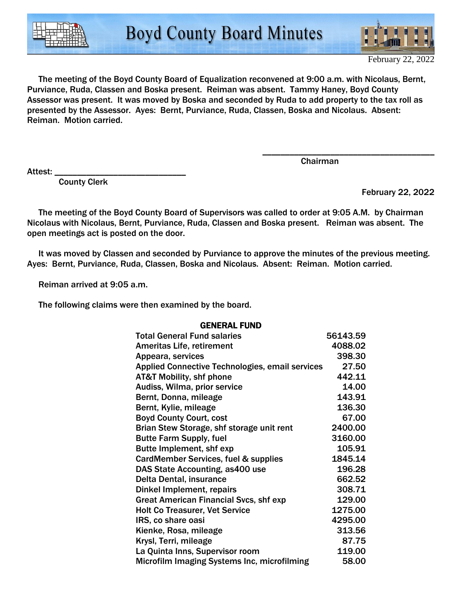

 The meeting of the Boyd County Board of Equalization reconvened at 9:00 a.m. with Nicolaus, Bernt, Purviance, Ruda, Classen and Boska present. Reiman was absent. Tammy Haney, Boyd County Assessor was present. It was moved by Boska and seconded by Ruda to add property to the tax roll as presented by the Assessor. Ayes: Bernt, Purviance, Ruda, Classen, Boska and Nicolaus. Absent: Reiman. Motion carried.

Attest:

County Clerk

Chairman

\_\_\_\_\_\_\_\_\_\_\_\_\_\_\_\_\_\_\_\_\_\_\_\_\_\_\_\_\_\_\_\_\_\_\_\_\_\_

February 22, 2022

 The meeting of the Boyd County Board of Supervisors was called to order at 9:05 A.M. by Chairman Nicolaus with Nicolaus, Bernt, Purviance, Ruda, Classen and Boska present. Reiman was absent. The open meetings act is posted on the door.

 It was moved by Classen and seconded by Purviance to approve the minutes of the previous meeting. Ayes: Bernt, Purviance, Ruda, Classen, Boska and Nicolaus. Absent: Reiman. Motion carried.

Reiman arrived at 9:05 a.m.

The following claims were then examined by the board.

| <b>Total General Fund salaries</b>                     | 56143.59 |
|--------------------------------------------------------|----------|
| <b>Ameritas Life, retirement</b>                       | 4088.02  |
| Appeara, services                                      | 398.30   |
| <b>Applied Connective Technologies, email services</b> | 27.50    |
| <b>AT&amp;T Mobility, shf phone</b>                    | 442.11   |
| Audiss, Wilma, prior service                           | 14.00    |
| Bernt, Donna, mileage                                  | 143.91   |
| Bernt, Kylie, mileage                                  | 136.30   |
| <b>Boyd County Court, cost</b>                         | 67.00    |
| Brian Stew Storage, shf storage unit rent              | 2400.00  |
| <b>Butte Farm Supply, fuel</b>                         | 3160.00  |
| Butte Implement, shf exp                               | 105.91   |
| CardMember Services, fuel & supplies                   | 1845.14  |
| DAS State Accounting, as 400 use                       | 196.28   |
| Delta Dental, insurance                                | 662.52   |
| Dinkel Implement, repairs                              | 308.71   |
| <b>Great American Financial Svcs, shf exp</b>          | 129.00   |
| <b>Holt Co Treasurer, Vet Service</b>                  | 1275.00  |
| IRS, co share oasi                                     | 4295.00  |
| Kienke, Rosa, mileage                                  | 313.56   |
| Krysl, Terri, mileage                                  | 87.75    |
| La Quinta Inns, Supervisor room                        | 119.00   |
| Microfilm Imaging Systems Inc, microfilming            | 58.00    |
|                                                        |          |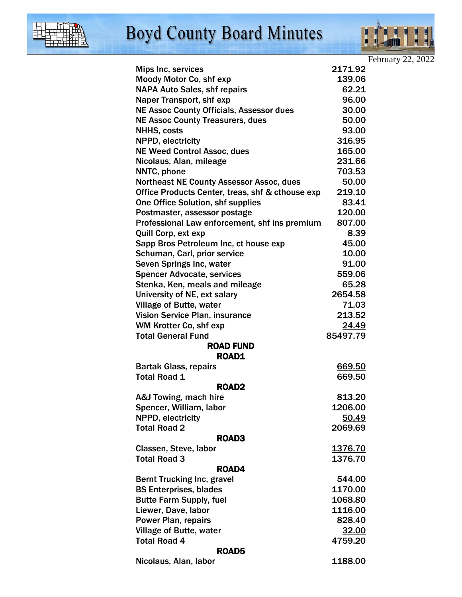

## **Boyd County Board Minutes**



February 22, 2022

| Mips Inc, services                               | 2171.92      |  |
|--------------------------------------------------|--------------|--|
| Moody Motor Co, shf exp                          | 139.06       |  |
| <b>NAPA Auto Sales, shf repairs</b>              | 62.21        |  |
| Naper Transport, shf exp                         | 96.00        |  |
| <b>NE Assoc County Officials, Assessor dues</b>  | 30.00        |  |
| <b>NE Assoc County Treasurers, dues</b>          | 50.00        |  |
| <b>NHHS, costs</b>                               | 93.00        |  |
| NPPD, electricity                                | 316.95       |  |
| <b>NE Weed Control Assoc, dues</b>               | 165.00       |  |
| Nicolaus, Alan, mileage                          | 231.66       |  |
| NNTC, phone                                      | 703.53       |  |
| <b>Northeast NE County Assessor Assoc, dues</b>  | 50.00        |  |
| Office Products Center, treas, shf & cthouse exp | 219.10       |  |
| <b>One Office Solution, shf supplies</b>         | 83.41        |  |
| Postmaster, assessor postage                     | 120.00       |  |
| Professional Law enforcement, shf ins premium    | 807.00       |  |
| Quill Corp, ext exp                              | 8.39         |  |
| Sapp Bros Petroleum Inc, ct house exp            | 45.00        |  |
| Schuman, Carl, prior service                     | 10.00        |  |
| Seven Springs Inc, water                         | 91.00        |  |
| <b>Spencer Advocate, services</b>                | 559.06       |  |
| Stenka, Ken, meals and mileage                   | 65.28        |  |
| University of NE, ext salary                     | 2654.58      |  |
| Village of Butte, water                          | 71.03        |  |
| Vision Service Plan, insurance                   | 213.52       |  |
| WM Krotter Co, shf exp                           | <u>24.49</u> |  |
| <b>Total General Fund</b>                        | 85497.79     |  |
| <b>ROAD FUND</b>                                 |              |  |
| <b>ROAD1</b>                                     |              |  |
| <b>Bartak Glass, repairs</b>                     | 669.50       |  |
| <b>Total Road 1</b>                              | 669.50       |  |
| <b>ROAD2</b>                                     |              |  |
| A&J Towing, mach hire                            | 813.20       |  |
| Spencer, William, labor                          | 1206.00      |  |
| NPPD, electricity                                | 50.49        |  |
| <b>Total Road 2</b>                              | 2069.69      |  |
| ROAD3                                            |              |  |
| Classen, Steve, labor                            | 1376.70      |  |
| <b>Total Road 3</b>                              | 1376.70      |  |
| ROAD4                                            |              |  |
| <b>Bernt Trucking Inc, gravel</b>                | 544.00       |  |
| <b>BS Enterprises, blades</b>                    | 1170.00      |  |
| <b>Butte Farm Supply, fuel</b>                   | 1068.80      |  |
| Liewer, Dave, labor                              | 1116.00      |  |
| <b>Power Plan, repairs</b>                       | 828.40       |  |
| <b>Village of Butte, water</b>                   | 32.00        |  |
| <b>Total Road 4</b>                              | 4759.20      |  |
| ROAD5                                            |              |  |
| Nicolaus, Alan, labor                            | 1188.00      |  |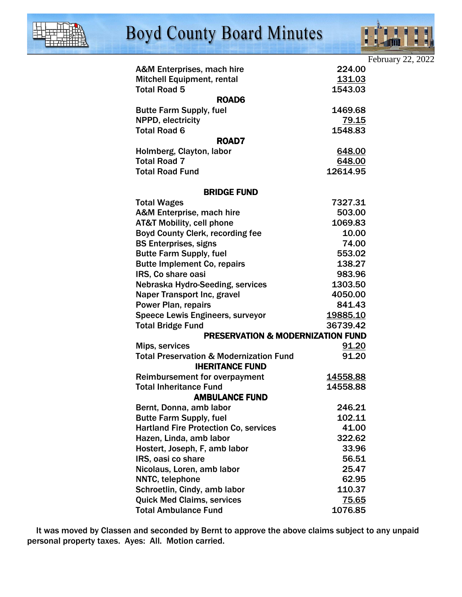

## **Boyd County Board Minutes**



|                                                    |                                              | February 22, 2022 |
|----------------------------------------------------|----------------------------------------------|-------------------|
| A&M Enterprises, mach hire                         | 224.00                                       |                   |
| <b>Mitchell Equipment, rental</b>                  | 131.03                                       |                   |
| <b>Total Road 5</b>                                | 1543.03                                      |                   |
|                                                    | ROAD6                                        |                   |
| <b>Butte Farm Supply, fuel</b>                     | 1469.68                                      |                   |
| NPPD, electricity                                  | <u>79.15</u>                                 |                   |
| <b>Total Road 6</b>                                | 1548.83                                      |                   |
|                                                    | ROAD7                                        |                   |
| Holmberg, Clayton, labor                           | 648.00                                       |                   |
| <b>Total Road 7</b>                                | 648.00                                       |                   |
| <b>Total Road Fund</b>                             | 12614.95                                     |                   |
|                                                    | <b>BRIDGE FUND</b>                           |                   |
| <b>Total Wages</b>                                 | 7327.31                                      |                   |
| A&M Enterprise, mach hire                          | 503.00                                       |                   |
| <b>AT&amp;T Mobility, cell phone</b>               | 1069.83                                      |                   |
| Boyd County Clerk, recording fee                   | 10.00                                        |                   |
| <b>BS Enterprises, signs</b>                       | 74.00                                        |                   |
| <b>Butte Farm Supply, fuel</b>                     | 553.02                                       |                   |
| <b>Butte Implement Co, repairs</b>                 | 138.27                                       |                   |
| IRS, Co share oasi                                 | 983.96                                       |                   |
| Nebraska Hydro-Seeding, services                   | 1303.50                                      |                   |
| Naper Transport Inc, gravel                        | 4050.00                                      |                   |
| <b>Power Plan, repairs</b>                         | 841.43                                       |                   |
| <b>Speece Lewis Engineers, surveyor</b>            | 19885.10                                     |                   |
| <b>Total Bridge Fund</b>                           | 36739.42                                     |                   |
|                                                    | <b>PRESERVATION &amp; MODERNIZATION FUND</b> |                   |
| Mips, services                                     | 91.20                                        |                   |
| <b>Total Preservation &amp; Modernization Fund</b> | 91.20<br><b>IHERITANCE FUND</b>              |                   |
| <b>Reimbursement for overpayment</b>               | 14558.88                                     |                   |
| <b>Total Inheritance Fund</b>                      | 14558.88                                     |                   |
|                                                    | <b>AMBULANCE FUND</b>                        |                   |
| Bernt, Donna, amb labor                            | 246.21                                       |                   |
| <b>Butte Farm Supply, fuel</b>                     | 102.11                                       |                   |
| <b>Hartland Fire Protection Co, services</b>       | 41.00                                        |                   |
| Hazen, Linda, amb labor                            | 322.62                                       |                   |
| Hostert, Joseph, F, amb labor                      | 33.96                                        |                   |
| IRS, oasi co share                                 | 56.51                                        |                   |
| Nicolaus, Loren, amb labor                         | 25.47                                        |                   |
| NNTC, telephone                                    | 62.95                                        |                   |
| Schroetlin, Cindy, amb labor                       | 110.37                                       |                   |
| <b>Quick Med Claims, services</b>                  | <u>75.65</u>                                 |                   |
| <b>Total Ambulance Fund</b>                        | 1076.85                                      |                   |
|                                                    |                                              |                   |

 It was moved by Classen and seconded by Bernt to approve the above claims subject to any unpaid personal property taxes. Ayes: All. Motion carried.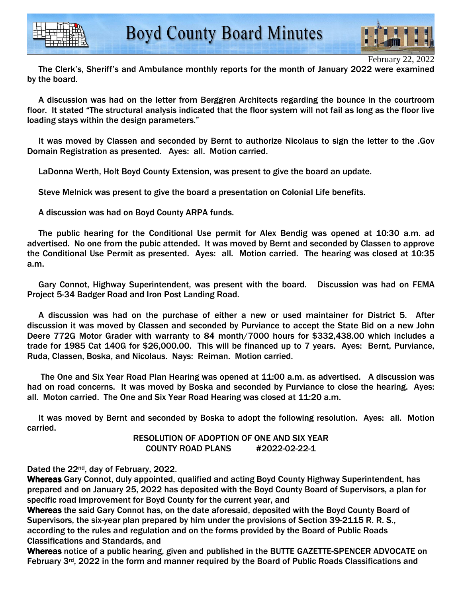



February 22, 2022

 The Clerk's, Sheriff's and Ambulance monthly reports for the month of January 2022 were examined by the board.

 A discussion was had on the letter from Berggren Architects regarding the bounce in the courtroom floor. It stated "The structural analysis indicated that the floor system will not fail as long as the floor live loading stays within the design parameters."

 It was moved by Classen and seconded by Bernt to authorize Nicolaus to sign the letter to the .Gov Domain Registration as presented. Ayes: all. Motion carried.

LaDonna Werth, Holt Boyd County Extension, was present to give the board an update.

Steve Melnick was present to give the board a presentation on Colonial Life benefits.

A discussion was had on Boyd County ARPA funds.

 The public hearing for the Conditional Use permit for Alex Bendig was opened at 10:30 a.m. ad advertised. No one from the pubic attended. It was moved by Bernt and seconded by Classen to approve the Conditional Use Permit as presented. Ayes: all. Motion carried. The hearing was closed at 10:35 a.m.

 Gary Connot, Highway Superintendent, was present with the board. Discussion was had on FEMA Project 5-34 Badger Road and Iron Post Landing Road.

 A discussion was had on the purchase of either a new or used maintainer for District 5. After discussion it was moved by Classen and seconded by Purviance to accept the State Bid on a new John Deere 772G Motor Grader with warranty to 84 month/7000 hours for \$332,438.00 which includes a trade for 1985 Cat 140G for \$26,000.00. This will be financed up to 7 years. Ayes: Bernt, Purviance, Ruda, Classen, Boska, and Nicolaus. Nays: Reiman. Motion carried.

 The One and Six Year Road Plan Hearing was opened at 11:00 a.m. as advertised. A discussion was had on road concerns. It was moved by Boska and seconded by Purviance to close the hearing. Ayes: all. Moton carried. The One and Six Year Road Hearing was closed at 11:20 a.m.

 It was moved by Bernt and seconded by Boska to adopt the following resolution. Ayes: all. Motion carried.

> RESOLUTION OF ADOPTION OF ONE AND SIX YEAR COUNTY ROAD PLANS #2022-02-22-1

Dated the 22nd, day of February, 2022.

Whereas Gary Connot, duly appointed, qualified and acting Boyd County Highway Superintendent, has prepared and on January 25, 2022 has deposited with the Boyd County Board of Supervisors, a plan for specific road improvement for Boyd County for the current year, and

Whereas the said Gary Connot has, on the date aforesaid, deposited with the Boyd County Board of Supervisors, the six-year plan prepared by him under the provisions of Section 39-2115 R. R. S., according to the rules and regulation and on the forms provided by the Board of Public Roads Classifications and Standards, and

Whereas notice of a public hearing, given and published in the BUTTE GAZETTE-SPENCER ADVOCATE on February 3<sup>rd</sup>, 2022 in the form and manner required by the Board of Public Roads Classifications and